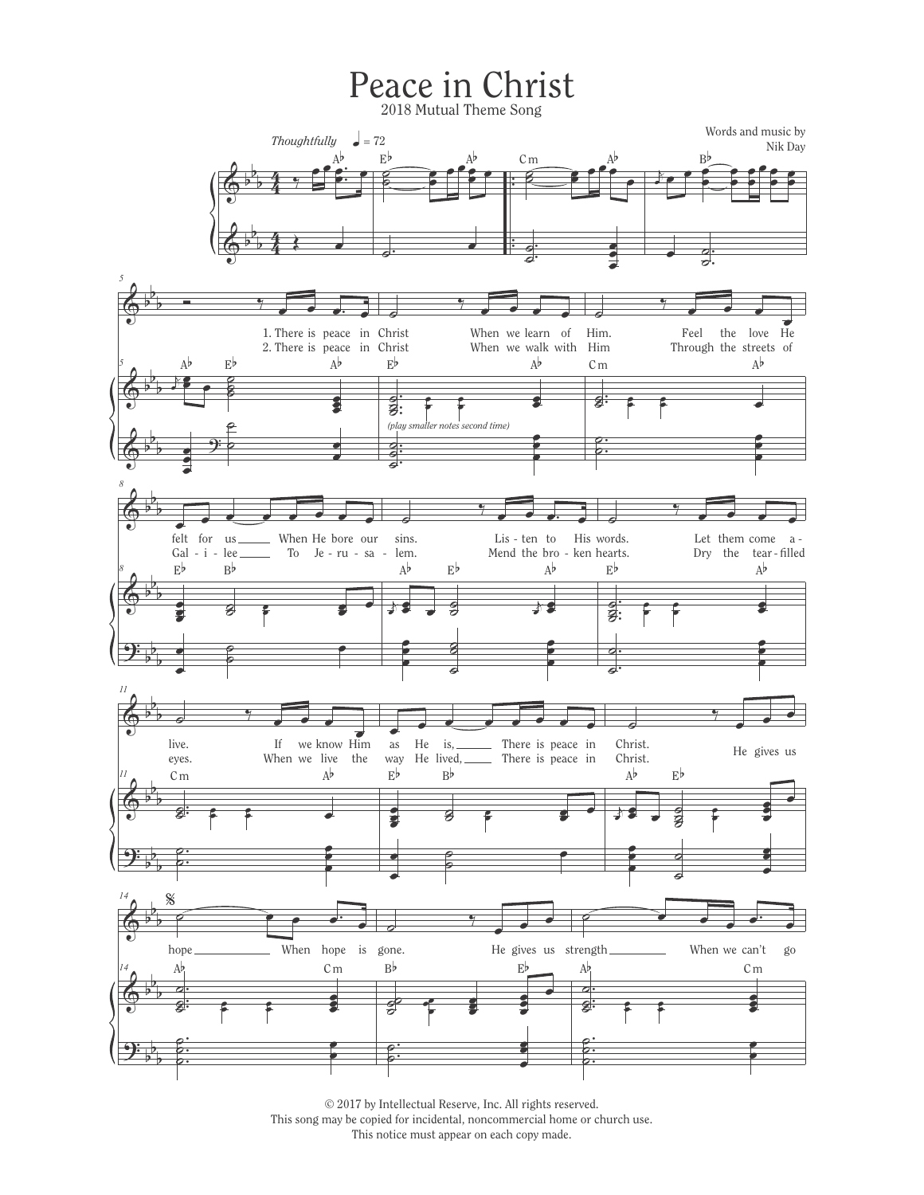## Peace in Christ

2018 Mutual Theme Song



© 2017 by Intellectual Reserve, Inc. All rights reserved. This song may be copied for incidental, noncommercial home or church use. This notice must appear on each copy made.